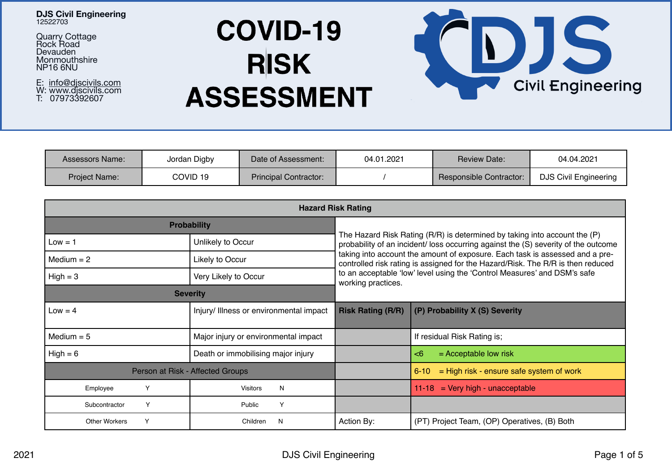### **DJS Civil Engineering**  12522703

Quarry Cottage Rock Road Devauden **Monmouthshire** NP16 6NU

E: <u>[info@djscivils.com](mailto:info@djscivils.com)</u><br>W: www.djscivils.com T: 07973392607

# **COVID-19 RISK ASSESSMENT**



| Assessors Name:      | Jordan Digby | Date of Assessment:          | 04.01.2021 | <b>Review Date:</b>     | 04.04.2021                   |
|----------------------|--------------|------------------------------|------------|-------------------------|------------------------------|
| <b>Project Name:</b> | COVID 19     | <b>Principal Contractor:</b> |            | Responsible Contractor: | <b>DJS Civil Engineering</b> |

| <b>Hazard Risk Rating</b> |                                         |                                                                                                                                                                                                                                                                                                                                    |                                                      |  |  |  |  |
|---------------------------|-----------------------------------------|------------------------------------------------------------------------------------------------------------------------------------------------------------------------------------------------------------------------------------------------------------------------------------------------------------------------------------|------------------------------------------------------|--|--|--|--|
|                           | <b>Probability</b>                      | The Hazard Risk Rating (R/R) is determined by taking into account the (P)<br>probability of an incident/ loss occurring against the (S) severity of the outcome<br>taking into account the amount of exposure. Each task is assessed and a pre-<br>controlled risk rating is assigned for the Hazard/Risk. The R/R is then reduced |                                                      |  |  |  |  |
| $Low = 1$                 | Unlikely to Occur                       |                                                                                                                                                                                                                                                                                                                                    |                                                      |  |  |  |  |
| Medium $= 2$              | Likely to Occur                         |                                                                                                                                                                                                                                                                                                                                    |                                                      |  |  |  |  |
| $High = 3$                | Very Likely to Occur                    | to an acceptable 'low' level using the 'Control Measures' and DSM's safe<br>working practices.                                                                                                                                                                                                                                     |                                                      |  |  |  |  |
|                           | <b>Severity</b>                         |                                                                                                                                                                                                                                                                                                                                    |                                                      |  |  |  |  |
| $Low = 4$                 | Injury/ Illness or environmental impact | <b>Risk Rating (R/R)</b>                                                                                                                                                                                                                                                                                                           | (P) Probability X (S) Severity                       |  |  |  |  |
| Medium $= 5$              | Major injury or environmental impact    |                                                                                                                                                                                                                                                                                                                                    | If residual Risk Rating is;                          |  |  |  |  |
| $High = 6$                | Death or immobilising major injury      |                                                                                                                                                                                                                                                                                                                                    | $=$ Acceptable low risk<br>$<$ 6                     |  |  |  |  |
|                           | Person at Risk - Affected Groups        |                                                                                                                                                                                                                                                                                                                                    | = High risk - ensure safe system of work<br>$6 - 10$ |  |  |  |  |
| Υ<br>Employee             | N<br><b>Visitors</b>                    |                                                                                                                                                                                                                                                                                                                                    | $=$ Very high - unacceptable<br>$11 - 18$            |  |  |  |  |
| Y<br>Subcontractor        | Y<br>Public                             |                                                                                                                                                                                                                                                                                                                                    |                                                      |  |  |  |  |
| Y<br>Other Workers        | Children<br>N                           | Action By:                                                                                                                                                                                                                                                                                                                         | (PT) Project Team, (OP) Operatives, (B) Both         |  |  |  |  |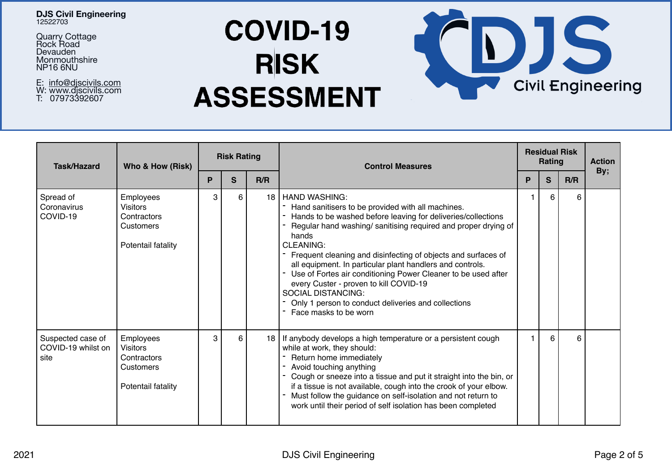### **DJS Civil Engineering**  12522703

Quarry Cottage Rock Road Devauden **Monmouthshire** NP16 6NU

E: <u>[info@djscivils.com](mailto:info@djscivils.com)</u><br>W: www.djscivils.com T: 07973392607

## **COVID-19 RISK ASSESSMENT**

| Task/Hazard                                     | Who & How (Risk)                                                               | <b>Risk Rating</b> |    |      | <b>Control Measures</b>                                                                                                                                                                                                                                                                                                                                                                                                                                                                                                                                                                        | <b>Residual Risk</b><br>Rating |    |     | <b>Action</b> |
|-------------------------------------------------|--------------------------------------------------------------------------------|--------------------|----|------|------------------------------------------------------------------------------------------------------------------------------------------------------------------------------------------------------------------------------------------------------------------------------------------------------------------------------------------------------------------------------------------------------------------------------------------------------------------------------------------------------------------------------------------------------------------------------------------------|--------------------------------|----|-----|---------------|
|                                                 |                                                                                | P                  | S. | R/R  |                                                                                                                                                                                                                                                                                                                                                                                                                                                                                                                                                                                                |                                | S. | R/R | By;           |
| Spread of<br>Coronavirus<br>COVID-19            | Employees<br><b>Visitors</b><br>Contractors<br>Customers<br>Potentail fatality | 3                  | 6  | 18 I | HAND WASHING:<br>Hand sanitisers to be provided with all machines.<br>Hands to be washed before leaving for deliveries/collections<br>Regular hand washing/sanitising required and proper drying of<br>hands<br><b>CLEANING:</b><br>- Frequent cleaning and disinfecting of objects and surfaces of<br>all equipment. In particular plant handlers and controls.<br>Use of Fortes air conditioning Power Cleaner to be used after<br>۰.<br>every Custer - proven to kill COVID-19<br><b>SOCIAL DISTANCING:</b><br>Only 1 person to conduct deliveries and collections<br>Face masks to be worn |                                | 6  | 6   |               |
| Suspected case of<br>COVID-19 whilst on<br>site | Employees<br><b>Visitors</b><br>Contractors<br>Customers<br>Potentail fatality | 3                  | 6  | 18 I | If anybody develops a high temperature or a persistent cough<br>while at work, they should:<br>Return home immediately<br>Avoid touching anything<br>Cough or sneeze into a tissue and put it straight into the bin, or<br>۰.<br>if a tissue is not available, cough into the crook of your elbow.<br>Must follow the guidance on self-isolation and not return to<br>work until their period of self isolation has been completed                                                                                                                                                             |                                | 6  | 6   |               |

JS

**Civil Engineering**